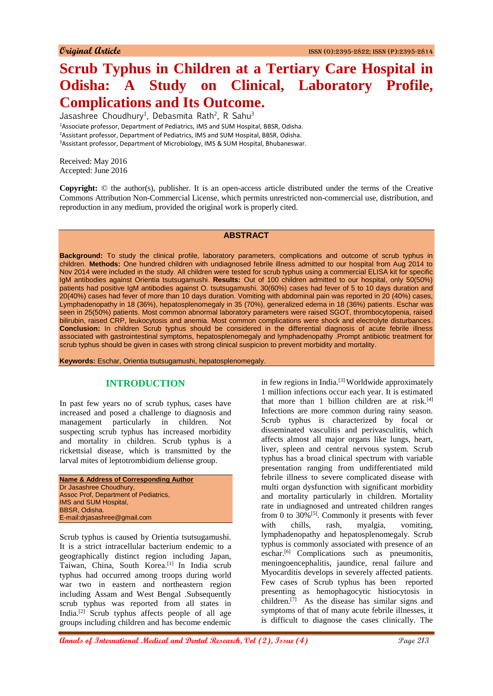# **Scrub Typhus in Children at a Tertiary Care Hospital in Odisha: A Study on Clinical, Laboratory Profile, Complications and Its Outcome.**

Jasashree Choudhury<sup>1</sup>, Debasmita Rath<sup>2</sup>, R Sahu<sup>3</sup> Associate professor, Department of Pediatrics, IMS and SUM Hospital, BBSR, Odisha. Assistant professor, Department of Pediatrics, IMS and SUM Hospital, BBSR, Odisha. Assistant professor, Department of Microbiology, IMS & SUM Hospital, Bhubaneswar.

Received: May 2016 Accepted: June 2016

**Copyright:** © the author(s), publisher. It is an open-access article distributed under the terms of the Creative Commons Attribution Non-Commercial License, which permits unrestricted non-commercial use, distribution, and reproduction in any medium, provided the original work is properly cited.

#### **ABSTRACT**

**Background:** To study the clinical profile, laboratory parameters, complications and outcome of scrub typhus in children. **Methods:** One hundred children with undiagnosed febrile illness admitted to our hospital from Aug 2014 to Nov 2014 were included in the study. All children were tested for scrub typhus using a commercial ELISA kit for specific IgM antibodies against Orientia tsutsugamushi. **Results:** Out of 100 children admitted to our hospital, only 50(50%) patients had positive IgM antibodies against O. tsutsugamushi. 30(60%) cases had fever of 5 to 10 days duration and 20(40%) cases had fever of more than 10 days duration. Vomiting with abdominal pain was reported in 20 (40%) cases, Lymphadenopathy in 18 (36%), hepatosplenomegaly in 35 (70%), generalized edema in 18 (36%) patients. Eschar was seen in 25(50%) patients. Most common abnormal laboratory parameters were raised SGOT, thrombocytopenia, raised bilirubin, raised CRP, leukocytosis and anemia. Most common complications were shock and electrolyte disturbances. **Conclusion:** In children Scrub typhus should be considered in the differential diagnosis of acute febrile illness associated with gastrointestinal symptoms, hepatosplenomegaly and lymphadenopathy .Prompt antibiotic treatment for scrub typhus should be given in cases with strong clinical suspicion to prevent morbidity and mortality.

**Keywords:** Eschar, Orientia tsutsugamushi, hepatosplenomegaly.

## **INTRODUCTION**

In past few years no of scrub typhus, cases have increased and posed a challenge to diagnosis and management particularly in children. Not suspecting scrub typhus has increased morbidity and mortality in children. Scrub typhus is a rickettsial disease, which is transmitted by the larval mites of leptotrombidium deliense group.

| <b>Name &amp; Address of Corresponding Author</b> |
|---------------------------------------------------|
| Dr Jasashree Choudhury,                           |
| Assoc Prof, Department of Pediatrics,             |
| <b>IMS and SUM Hospital,</b>                      |
| BBSR. Odisha.                                     |
| E-mail:driasashree@gmail.com                      |
|                                                   |

Scrub typhus is caused by Orientia tsutsugamushi. It is a strict intracellular bacterium endemic to a geographically distinct region including Japan, Taiwan, China, South Korea.[1] In India scrub typhus had occurred among troops during world war two in eastern and northeastern region including Assam and West Bengal .Subsequently scrub typhus was reported from all states in India.[2] Scrub typhus affects people of all age groups including children and has become endemic

in few regions in India.[3] Worldwide approximately 1 million infections occur each year. It is estimated that more than 1 billion children are at risk. $[4]$ Infections are more common during rainy season. Scrub typhus is characterized by focal or disseminated vasculitis and perivasculitis, which affects almost all major organs like lungs, heart, liver, spleen and central nervous system. Scrub typhus has a broad clinical spectrum with variable presentation ranging from undifferentiated mild febrile illness to severe complicated disease with multi organ dysfunction with significant morbidity and mortality particularly in children. Mortality rate in undiagnosed and untreated children ranges from 0 to  $30\%$ <sup>[5]</sup>. Commonly it presents with fever with chills, rash, myalgia, vomiting, lymphadenopathy and hepatosplenomegaly. Scrub typhus is commonly associated with presence of an eschar.<sup>[6]</sup> Complications such as pneumonitis, meningoencephalitis, jaundice, renal failure and Myocarditis develops in severely affected patients. Few cases of Scrub typhus has been reported presenting as hemophagocytic histiocytosis in children.[7] As the disease has similar signs and symptoms of that of many acute febrile illnesses, it is difficult to diagnose the cases clinically. The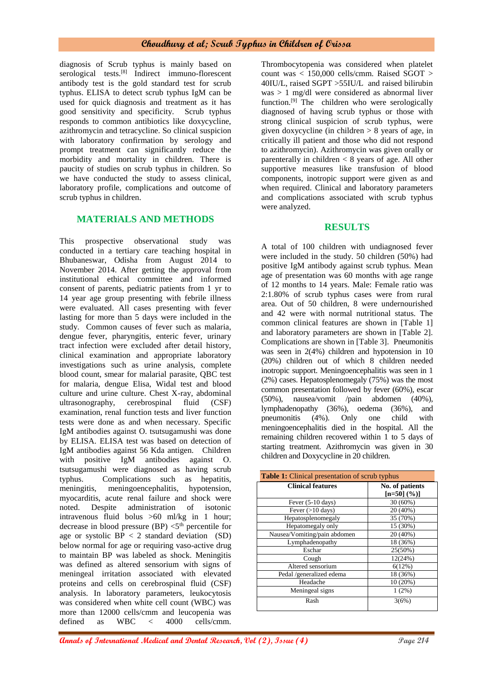diagnosis of Scrub typhus is mainly based on serological tests.<sup>[8]</sup> Indirect immuno-florescent antibody test is the gold standard test for scrub typhus. ELISA to detect scrub typhus IgM can be used for quick diagnosis and treatment as it has good sensitivity and specificity. Scrub typhus responds to common antibiotics like doxycycline, azithromycin and tetracycline. So clinical suspicion with laboratory confirmation by serology and prompt treatment can significantly reduce the morbidity and mortality in children. There is paucity of studies on scrub typhus in children. So we have conducted the study to assess clinical, laboratory profile, complications and outcome of scrub typhus in children.

### **MATERIALS AND METHODS**

This prospective observational study was conducted in a tertiary care teaching hospital in Bhubaneswar, Odisha from August 2014 to November 2014. After getting the approval from institutional ethical committee and informed consent of parents, pediatric patients from 1 yr to 14 year age group presenting with febrile illness were evaluated. All cases presenting with fever lasting for more than 5 days were included in the study. Common causes of fever such as malaria, dengue fever, pharyngitis, enteric fever, urinary tract infection were excluded after detail history, clinical examination and appropriate laboratory investigations such as urine analysis, complete blood count, smear for malarial parasite, QBC test for malaria, dengue Elisa, Widal test and blood culture and urine culture. Chest X-ray, abdominal ultrasonography, cerebrospinal fluid (CSF) examination, renal function tests and liver function tests were done as and when necessary. Specific IgM antibodies against O. tsutsugamushi was done by ELISA. ELISA test was based on detection of IgM antibodies against 56 Kda antigen. Children with positive IgM antibodies against O. tsutsugamushi were diagnosed as having scrub typhus. Complications such as hepatitis, meningitis, meningoencephalitis, hypotension, myocarditis, acute renal failure and shock were noted. Despite administration of isotonic intravenous fluid bolus >60 ml/kg in 1 hour; decrease in blood pressure (BP)  $\leq 5^{th}$  percentile for age or systolic  $BP < 2$  standard deviation (SD) below normal for age or requiring vaso-active drug to maintain BP was labeled as shock. Meningitis was defined as altered sensorium with signs of meningeal irritation associated with elevated proteins and cells on cerebrospinal fluid (CSF) analysis. In laboratory parameters, leukocytosis was considered when white cell count (WBC) was more than 12000 cells/cmm and leucopenia was defined as WBC < 4000 cells/cmm.

Thrombocytopenia was considered when platelet count was < 150,000 cells/cmm. Raised SGOT > 40IU/L, raised SGPT >55IU/L and raised bilirubin was > 1 mg/dl were considered as abnormal liver function.<sup>[9]</sup> The children who were serologically diagnosed of having scrub typhus or those with strong clinical suspicion of scrub typhus, were given doxycycline (in children  $> 8$  years of age, in critically ill patient and those who did not respond to azithromycin). Azithromycin was given orally or parenterally in children  $\lt 8$  years of age. All other supportive measures like transfusion of blood components, inotropic support were given as and when required. Clinical and laboratory parameters and complications associated with scrub typhus were analyzed.

#### **RESULTS**

A total of 100 children with undiagnosed fever were included in the study. 50 children (50%) had positive IgM antibody against scrub typhus. Mean age of presentation was 60 months with age range of 12 months to 14 years. Male: Female ratio was 2:1.80% of scrub typhus cases were from rural area. Out of 50 children, 8 were undernourished and 42 were with normal nutritional status. The common clinical features are shown in [Table 1] and laboratory parameters are shown in [Table 2]. Complications are shown in [Table 3]. Pneumonitis was seen in 2(4%) children and hypotension in 10 (20%) children out of which 8 children needed inotropic support. Meningoencephalitis was seen in 1 (2%) cases. Hepatosplenomegaly (75%) was the most common presentation followed by fever (60%), escar (50%), nausea/vomit /pain abdomen (40%), lymphadenopathy (36%), oedema (36%), and pneumonitis (4%). Only one child with meningoencephalitis died in the hospital. All the remaining children recovered within 1 to 5 days of starting treatment. Azithromycin was given in 30 children and Doxycycline in 20 children.

| <b>Table 1:</b> Clinical presentation of scrub typhus |                                  |  |
|-------------------------------------------------------|----------------------------------|--|
| <b>Clinical features</b>                              | No. of patients<br>$[n=50]$ (%)] |  |
| Fever $(5-10 \text{ days})$                           | $30(60\%)$                       |  |
| Fever $(>10 \text{ days})$                            | 20 (40%)                         |  |
| Hepatosplenomegaly                                    | 35 (70%)                         |  |
| Hepatomegaly only                                     | 15 (30%)                         |  |
| Nausea/Vomiting/pain abdomen                          | 20 (40%)                         |  |
| Lymphadenopathy                                       | 18 (36%)                         |  |
| Eschar                                                | 25(50%)                          |  |
| Cough                                                 | 12(24%)                          |  |
| Altered sensorium                                     | 6(12%)                           |  |
| Pedal /generalized edema                              | 18 (36%)                         |  |
| Headache                                              | 10(20%)                          |  |
| Meningeal signs                                       | $1(2\%)$                         |  |
| Rash                                                  | 3(6%)                            |  |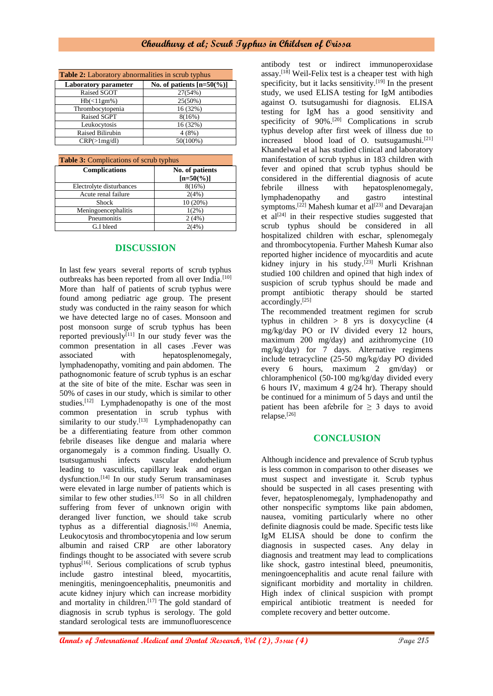| <b>Table 2:</b> Laboratory abnormalities in scrub typhus |                                   |  |
|----------------------------------------------------------|-----------------------------------|--|
| <b>Laboratory</b> parameter                              | No. of patients $[n=50\degree\%]$ |  |
| Raised SGOT                                              | 27(54%)                           |  |
| $Hb(\leq 11gm\%)$                                        | $25(50\%)$                        |  |
| Thrombocytopenia                                         | 16 (32%)                          |  |
| Raised SGPT                                              | 8(16%)                            |  |
| Leukocytosis                                             | 16 (32%)                          |  |
| Raised Bilirubin                                         | 4(8%)                             |  |
| CRP(>1mg/dl)                                             | 50(100%)                          |  |

| <b>Table 3:</b> Complications of scrub typhus |                                 |  |
|-----------------------------------------------|---------------------------------|--|
| <b>Complications</b>                          | No. of patients<br>$[n=50(\%)]$ |  |
| Electrolyte disturbances                      | 8(16%)                          |  |
| Acute renal failure                           | 2(4%)                           |  |
| Shock                                         | 10(20%)                         |  |
| Meningoencephalitis                           | $1(2\%)$                        |  |
| Pneumonitis                                   | 2(4%)                           |  |
| G.I bleed                                     | 2(4%)                           |  |

## **DISCUSSION**

In last few years several reports of scrub typhus outbreaks has been reported from all over India.<sup>[10]</sup> More than half of patients of scrub typhus were found among pediatric age group. The present study was conducted in the rainy season for which we have detected large no of cases. Monsoon and post monsoon surge of scrub typhus has been reported previously<sup>[11]</sup> In our study fever was the common presentation in all cases .Fever was associated with hepatosplenomegaly, lymphadenopathy, vomiting and pain abdomen. The pathognomonic feature of scrub typhus is an eschar at the site of bite of the mite. Eschar was seen in 50% of cases in our study, which is similar to other studies.<sup>[12]</sup> Lymphadenopathy is one of the most common presentation in scrub typhus with similarity to our study.<sup>[13]</sup> Lymphadenopathy can be a differentiating feature from other common febrile diseases like dengue and malaria where organomegaly is a common finding. Usually O. tsutsugamushi infects vascular endothelium leading to vasculitis, capillary leak and organ dysfunction.[14] In our study Serum transaminases were elevated in large number of patients which is similar to few other studies. $[15]$  So in all children suffering from fever of unknown origin with deranged liver function, we should take scrub typhus as a differential diagnosis.[16] Anemia, Leukocytosis and thrombocytopenia and low serum albumin and raised CRP are other laboratory findings thought to be associated with severe scrub typhus[16]. Serious complications of scrub typhus include gastro intestinal bleed, myocartitis, meningitis, meningoencephalitis, pneumonitis and acute kidney injury which can increase morbidity and mortality in children. $[17]$  The gold standard of diagnosis in scrub typhus is serology. The gold standard serological tests are immunofluorescence

antibody test or indirect immunoperoxidase assay.[18] Weil-Felix test is a cheaper test with high specificity, but it lacks sensitivity.<sup>[19]</sup> In the present study, we used ELISA testing for IgM antibodies against O. tsutsugamushi for diagnosis. ELISA testing for IgM has a good sensitivity and specificity of 90%.<sup>[20]</sup> Complications in scrub typhus develop after first week of illness due to increased blood load of O. tsutsugamushi.<sup>[21]</sup> Khandelwal et al has studied clinical and laboratory manifestation of scrub typhus in 183 children with fever and opined that scrub typhus should be considered in the differential diagnosis of acute febrile illness with hepatosplenomegaly,<br>lymphadenopathy and gastro intestinal lymphadenopathy and gastro intestinal symptoms.<sup>[22]</sup> Mahesh kumar et al<sup>[23]</sup> and Devarajan et  $al^{[24]}$  in their respective studies suggested that scrub typhus should be considered in all hospitalized children with eschar, splenomegaly and thrombocytopenia. Further Mahesh Kumar also reported higher incidence of myocarditis and acute kidney injury in his study.<sup>[23]</sup> Murli Krishnan studied 100 children and opined that high index of suspicion of scrub typhus should be made and prompt antibiotic therapy should be started accordingly.[25]

The recommended treatment regimen for scrub typhus in children > 8 yrs is doxycycline (4 mg/kg/day PO or IV divided every 12 hours, maximum 200 mg/day) and azithromycine (10 mg/kg/day) for 7 days. Alternative regimens include tetracycline (25-50 mg/kg/day PO divided every 6 hours, maximum 2 gm/day) or chloramphenicol (50-100 mg/kg/day divided every 6 hours IV, maximum 4 g/24 hr). Therapy should be continued for a minimum of 5 days and until the patient has been afebrile for  $\geq$  3 days to avoid relapse.[26]

### **CONCLUSION**

Although incidence and prevalence of Scrub typhus is less common in comparison to other diseases we must suspect and investigate it. Scrub typhus should be suspected in all cases presenting with fever, hepatosplenomegaly, lymphadenopathy and other nonspecific symptoms like pain abdomen, nausea, vomiting particularly where no other definite diagnosis could be made. Specific tests like IgM ELISA should be done to confirm the diagnosis in suspected cases. Any delay in diagnosis and treatment may lead to complications like shock, gastro intestinal bleed, pneumonitis, meningoencephalitis and acute renal failure with significant morbidity and mortality in children. High index of clinical suspicion with prompt empirical antibiotic treatment is needed for complete recovery and better outcome.